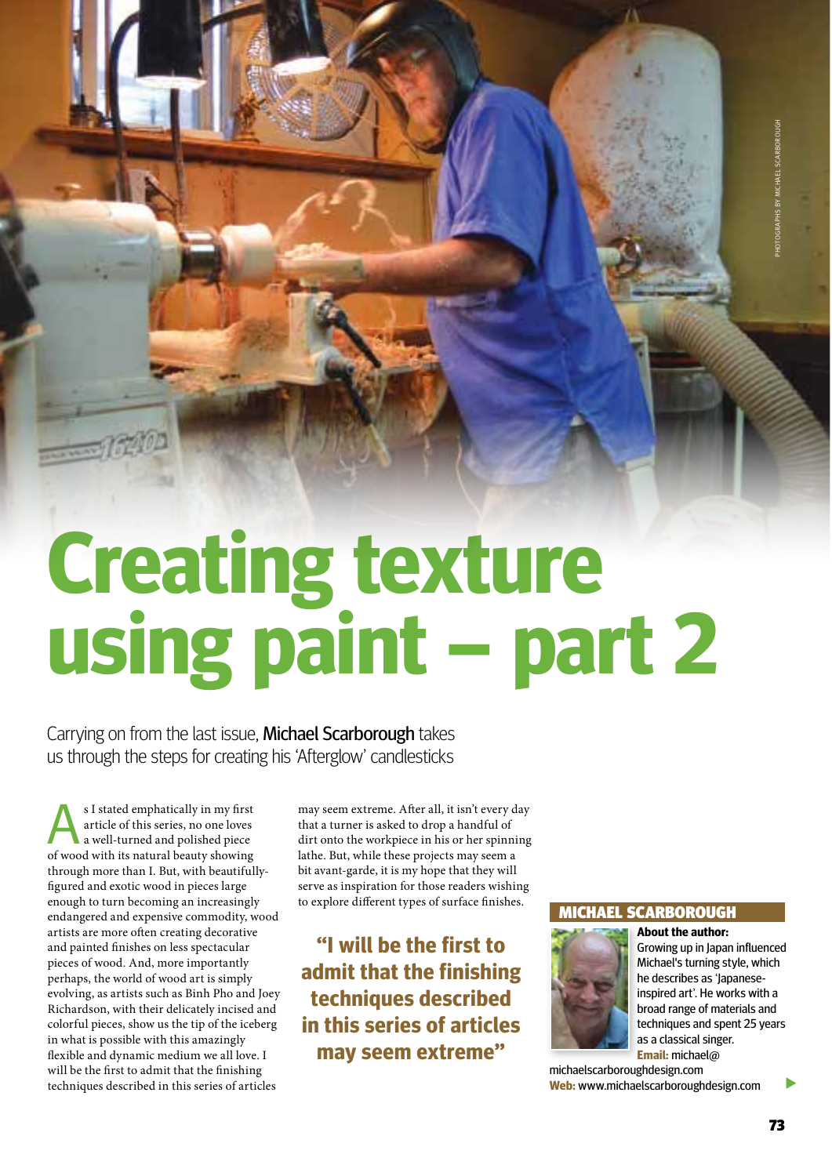**TECHNICAL** 

# **Creating texture using paint – part 2**

Carrying on from the last issue, Michael Scarborough takes us through the steps for creating his 'Afterglow' candlesticks

SI stated emphatically in my first<br>article of this series, no one loves<br>a well-turned and polished piece article of this series, no one loves a well-turned and polished piece of wood with its natural beauty showing through more than I. But, with beautifullyfigured and exotic wood in pieces large enough to turn becoming an increasingly endangered and expensive commodity, wood artists are more often creating decorative and painted finishes on less spectacular pieces of wood. And, more importantly perhaps, the world of wood art is simply evolving, as artists such as Binh Pho and Joey Richardson, with their delicately incised and colorful pieces, show us the tip of the iceberg in what is possible with this amazingly flexible and dynamic medium we all love. I will be the first to admit that the finishing techniques described in this series of articles

may seem extreme. After all, it isn't every day that a turner is asked to drop a handful of dirt onto the workpiece in his or her spinning lathe. But, while these projects may seem a bit avant-garde, it is my hope that they will serve as inspiration for those readers wishing to explore different types of surface finishes.

**"I will be the first to admit that the finishing techniques described in this series of articles may seem extreme"**

## Michael scarborough



**About the author:** Growing up in Japan influenced Michael's turning style, which he describes as 'Japaneseinspired art'. He works with a broad range of materials and techniques and spent 25 years as a classical singer. **Email:** michael@

michaelscarboroughdesign.com **Web:** www.michaelscarboroughdesign.com

 $\blacktriangleright$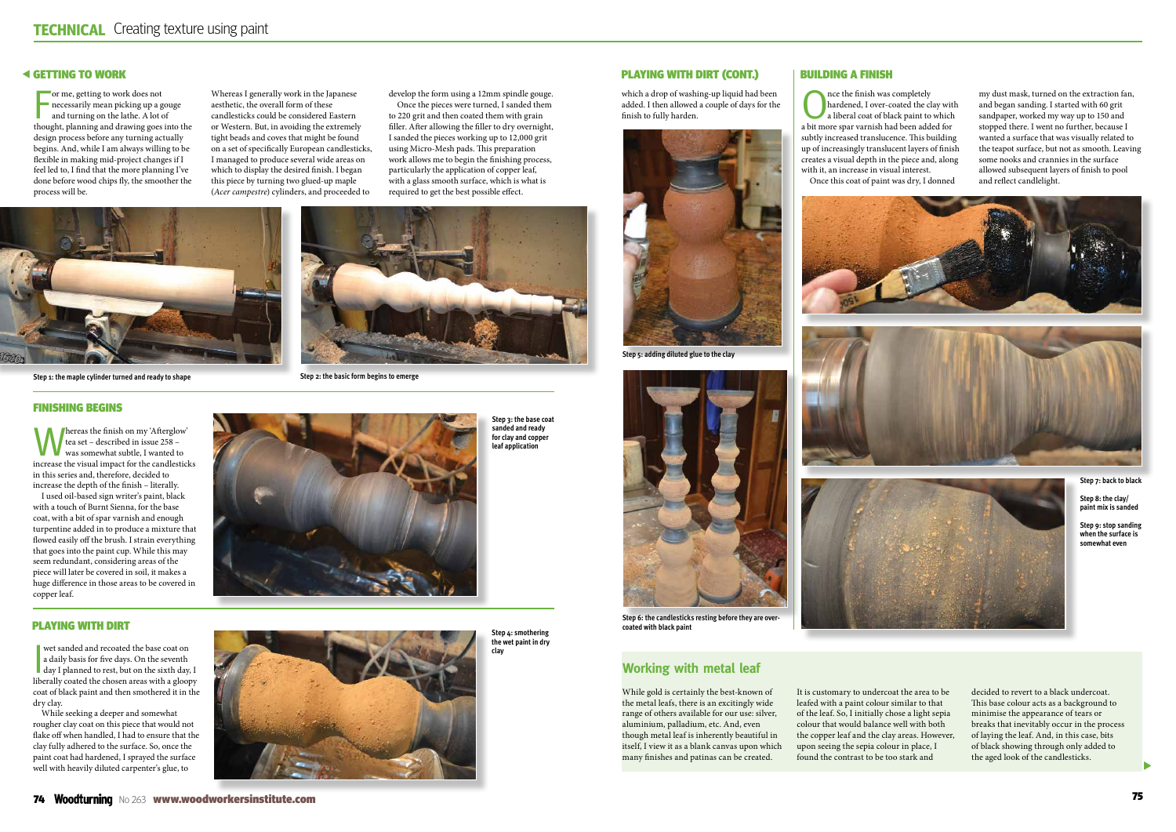$\blacktriangleright$ 

## Getting to work

for me, getting to work does not<br>necessarily mean picking up a gouge<br>and turning on the lathe. A lot of<br>thought, planning and drawing goes into the or me, getting to work does not necessarily mean picking up a gouge and turning on the lathe. A lot of design process before any turning actually begins. And, while I am always willing to be flexible in making mid-project changes if I feel led to, I find that the more planning I've done before wood chips fly, the smoother the process will be.

Whereas I generally work in the Japanese aesthetic, the overall form of these candlesticks could be considered Eastern or Western. But, in avoiding the extremely tight beads and coves that might be found on a set of specifically European candlesticks, I managed to produce several wide areas on which to display the desired finish. I began this piece by turning two glued-up maple (*Acer campestre*) cylinders, and proceeded to

develop the form using a 12mm spindle gouge.

Once the pieces were turned, I sanded them to 220 grit and then coated them with grain filler. After allowing the filler to dry overnight, I sanded the pieces working up to 12,000 grit using Micro-Mesh pads. This preparation work allows me to begin the finishing process, particularly the application of copper leaf,

wet sanded and recoated the base coat on<br>a daily basis for five days. On the seventh<br>day I planned to rest, but on the sixth day, I<br>law I have lower wet sanded and recoated the base coat on a daily basis for five days. On the seventh liberally coated the chosen areas with a gloopy coat of black paint and then smothered it in the dry clay.

with a glass smooth surface, which is what is required to get the best possible effect.



**Step 1: the maple cylinder turned and ready to shape**



**Step 2: the basic form begins to emerge**

#### Finishing begins

Whereas the finish on my 'Afterglow' tea set – described in issue 258 – was somewhat subtle, I wanted to increase the visual impact for the candlesticks in this series and, therefore, decided to increase the depth of the finish – literally.

**ONCE THE FINISH WAS COMPLETED A**<br>
a liberal coat of black paint to which<br>
a bit may also also black paint to which hardened, I over-coated the clay with a bit more spar varnish had been added for subtly increased translucence. This building up of increasingly translucent layers of finish creates a visual depth in the piece and, along with it, an increase in visual interest. Once this coat of paint was dry, I donned

I used oil-based sign writer's paint, black with a touch of Burnt Sienna, for the base coat, with a bit of spar varnish and enough turpentine added in to produce a mixture that flowed easily off the brush. I strain everything that goes into the paint cup. While this may seem redundant, considering areas of the piece will later be covered in soil, it makes a huge difference in those areas to be covered in copper leaf.

**Step 3: the base coat sanded and ready for clay and copper leaf application**

## Playing with dirt

While seeking a deeper and somewhat rougher clay coat on this piece that would not flake off when handled, I had to ensure that the clay fully adhered to the surface. So, once the paint coat had hardened, I sprayed the surface well with heavily diluted carpenter's glue, to



**Step 4: smothering the wet paint in dry clay**

which a drop of washing-up liquid had been added. I then allowed a couple of days for the finish to fully harden.



**Step 6: the candlesticks resting before they are overcoated with black paint**

# Building a finish

my dust mask, turned on the extraction fan, and began sanding. I started with 60 grit sandpaper, worked my way up to 150 and stopped there. I went no further, because I wanted a surface that was visually related to the teapot surface, but not as smooth. Leaving some nooks and crannies in the surface allowed subsequent layers of finish to pool and reflect candlelight.







While gold is certainly the best-known of the metal leafs, there is an excitingly wide range of others available for our use: silver, aluminium, palladium, etc. And, even though metal leaf is inherently beautiful in itself, I view it as a blank canvas upon which many finishes and patinas can be created.

It is customary to undercoat the area to be leafed with a paint colour similar to that of the leaf. So, I initially chose a light sepia colour that would balance well with both the copper leaf and the clay areas. However, upon seeing the sepia colour in place, I found the contrast to be too stark and

decided to revert to a black undercoat. This base colour acts as a background to minimise the appearance of tears or breaks that inevitably occur in the process of laying the leaf. And, in this case, bits of black showing through only added to the aged look of the candlesticks.

## **Working with metal leaf**

**Step 7: back to black**

**Step 8: the clay/ paint mix is sanded**

**Step 9: stop sanding when the surface is somewhat even**



**Step 5: adding diluted glue to the clay**